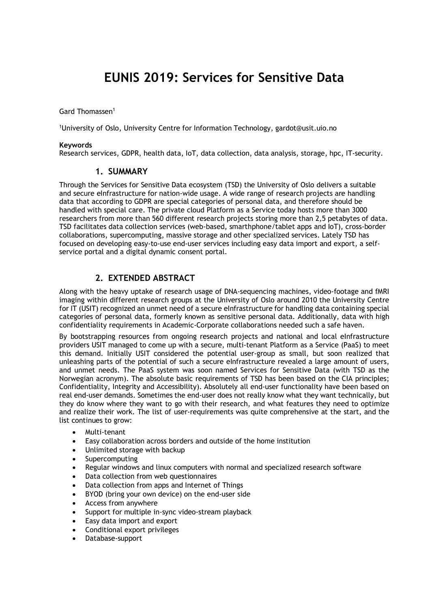# **EUNIS 2019: Services for Sensitive Data**

Gard Thomassen<sup>1</sup>

1 University of Oslo, University Centre for Information Technology, gardot@usit.uio.no

#### **Keywords**

Research services, GDPR, health data, IoT, data collection, data analysis, storage, hpc, IT-security.

#### **1. SUMMARY**

Through the Services for Sensitive Data ecosystem (TSD) the University of Oslo delivers a suitable and secure eInfrastructure for nation-wide usage. A wide range of research projects are handling data that according to GDPR are special categories of personal data, and therefore should be handled with special care. The private cloud Platform as a Service today hosts more than 3000 researchers from more than 560 different research projects storing more than 2,5 petabytes of data. TSD facilitates data collection services (web-based, smarthphone/tablet apps and IoT), cross-border collaborations, supercomputing, massive storage and other specialized services. Lately TSD has focused on developing easy-to-use end-user services including easy data import and export, a selfservice portal and a digital dynamic consent portal.

## **2. EXTENDED ABSTRACT**

Along with the heavy uptake of research usage of DNA-sequencing machines, video-footage and fMRI imaging within different research groups at the University of Oslo around 2010 the University Centre for IT (USIT) recognized an unmet need of a secure eInfrastructure for handling data containing special categories of personal data, formerly known as sensitive personal data. Additionally, data with high confidentiality requirements in Academic-Corporate collaborations needed such a safe haven.

By bootstrapping resources from ongoing research projects and national and local eInfrastructure providers USIT managed to come up with a secure, multi-tenant Platform as a Service (PaaS) to meet this demand. Initially USIT considered the potential user-group as small, but soon realized that unleashing parts of the potential of such a secure eInfrastructure revealed a large amount of users, and unmet needs. The PaaS system was soon named Services for Sensitive Data (with TSD as the Norwegian acronym). The absolute basic requirements of TSD has been based on the CIA principles; Confidentiality, Integrity and Accessibility). Absolutely all end-user functionality have been based on real end-user demands. Sometimes the end-user does not really know what they want technically, but they do know where they want to go with their research, and what features they need to optimize and realize their work. The list of user-requirements was quite comprehensive at the start, and the list continues to grow:

- Multi-tenant
- Easy collaboration across borders and outside of the home institution
- Unlimited storage with backup
- **Supercomputing**
- Regular windows and linux computers with normal and specialized research software
- Data collection from web questionnaires
- Data collection from apps and Internet of Things
- BYOD (bring your own device) on the end-user side
- Access from anywhere
- Support for multiple in-sync video-stream playback
- Easy data import and export
- Conditional export privileges
- Database-support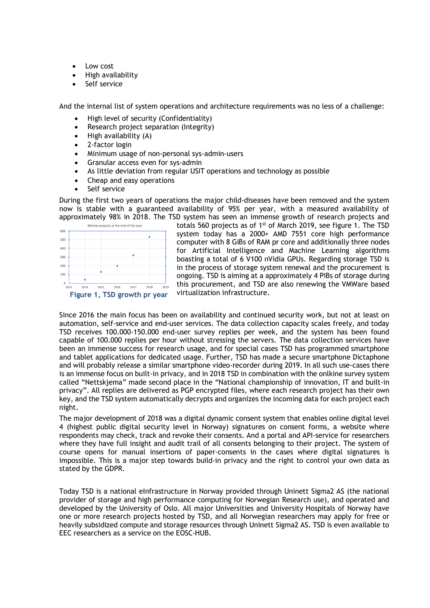- Low cost
- High availability
- Self service

And the internal list of system operations and architecture requirements was no less of a challenge:

- High level of security (Confidentiality)
- Research project separation (Integrity)
- High availability (A)
- 2-factor login
- Minimum usage of non-personal sys-admin-users
- Granular access even for sys-admin
- As little deviation from regular USIT operations and technology as possible
- Cheap and easy operations
- Self service

During the first two years of operations the major child-diseases have been removed and the system now is stable with a guaranteed availability of 95% per year, with a measured availability of approximately 98% in 2018. The TSD system has seen an immense growth of research projects and



totals 560 projects as of 1st of March 2019, see figure 1. The TSD system today has a 2000+ AMD 7551 core high performance computer with 8 GiBs of RAM pr core and additionally three nodes for Artificial Intelligence and Machine Learning algorithms boasting a total of 6 V100 nVidia GPUs. Regarding storage TSD is in the process of storage system renewal and the procurement is ongoing. TSD is aiming at a approximately 4 PiBs of storage during this procurement, and TSD are also renewing the VMWare based virtualization infrastructure.

Since 2016 the main focus has been on availability and continued security work, but not at least on automation, self-service and end-user services. The data collection capacity scales freely, and today TSD receives 100.000-150.000 end-user survey replies per week, and the system has been found capable of 100.000 replies per hour without stressing the servers. The data collection services have been an immense success for research usage, and for special cases TSD has programmed smartphone and tablet applications for dedicated usage. Further, TSD has made a secure smartphone Dictaphone and will probably release a similar smartphone video-recorder during 2019. In all such use-cases there is an immense focus on built-in privacy, and in 2018 TSD in combination with the onlkine survey system called "Nettskjema" made second place in the "National championship of innovation, IT and built-in privacy". All replies are delivered as PGP encrypted files, where each research project has their own key, and the TSD system automatically decrypts and organizes the incoming data for each project each night.

The major development of 2018 was a digital dynamic consent system that enables online digital level 4 (highest public digital security level in Norway) signatures on consent forms, a website where respondents may check, track and revoke their consents. And a portal and API-service for researchers where they have full insight and audit trail of all consents belonging to their project. The system of course opens for manual insertions of paper-consents in the cases where digital signatures is impossible. This is a major step towards build-in privacy and the right to control your own data as stated by the GDPR.

Today TSD is a national eInfrastructure in Norway provided through Uninett Sigma2 AS (the national provider of storage and high performance computing for Norwegian Research use), and operated and developed by the University of Oslo. All major Universities and University Hospitals of Norway have one or more research projects hosted by TSD, and all Norwegian researchers may apply for free or heavily subsidized compute and storage resources through Uninett Sigma2 AS. TSD is even available to EEC researchers as a service on the EOSC-HUB.